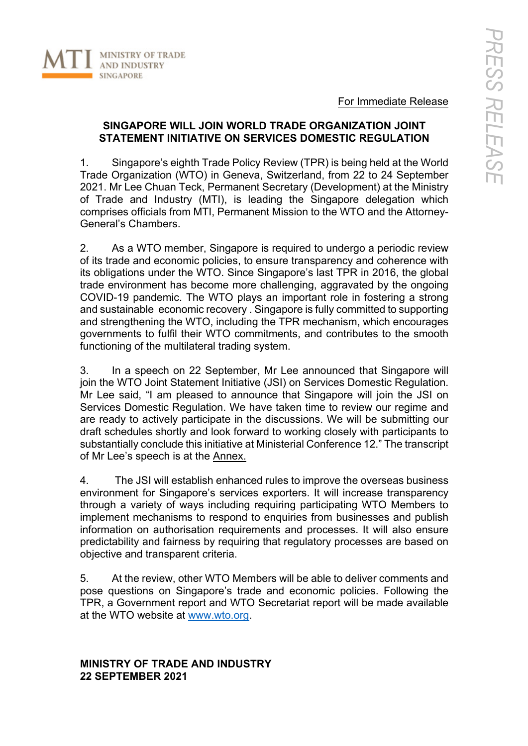

For Immediate Release

#### **SINGAPORE WILL JOIN WORLD TRADE ORGANIZATION JOINT STATEMENT INITIATIVE ON SERVICES DOMESTIC REGULATION**

1. Singapore's eighth Trade Policy Review (TPR) is being held at the World Trade Organization (WTO) in Geneva, Switzerland, from 22 to 24 September 2021. Mr Lee Chuan Teck, Permanent Secretary (Development) at the Ministry of Trade and Industry (MTI), is leading the Singapore delegation which comprises officials from MTI, Permanent Mission to the WTO and the Attorney-General's Chambers.

2. As a WTO member, Singapore is required to undergo a periodic review of its trade and economic policies, to ensure transparency and coherence with its obligations under the WTO. Since Singapore's last TPR in 2016, the global trade environment has become more challenging, aggravated by the ongoing COVID-19 pandemic. The WTO plays an important role in fostering a strong and sustainable economic recovery . Singapore is fully committed to supporting and strengthening the WTO, including the TPR mechanism, which encourages governments to fulfil their WTO commitments, and contributes to the smooth functioning of the multilateral trading system.

3. In a speech on 22 September, Mr Lee announced that Singapore will join the WTO Joint Statement Initiative (JSI) on Services Domestic Regulation. Mr Lee said, "I am pleased to announce that Singapore will join the JSI on Services Domestic Regulation. We have taken time to review our regime and are ready to actively participate in the discussions. We will be submitting our draft schedules shortly and look forward to working closely with participants to substantially conclude this initiative at Ministerial Conference 12." The transcript of Mr Lee's speech is at the Annex.

4. The JSI will establish enhanced rules to improve the overseas business environment for Singapore's services exporters. It will increase transparency through a variety of ways including requiring participating WTO Members to implement mechanisms to respond to enquiries from businesses and publish information on authorisation requirements and processes. It will also ensure predictability and fairness by requiring that regulatory processes are based on objective and transparent criteria.

5. At the review, other WTO Members will be able to deliver comments and pose questions on Singapore's trade and economic policies. Following the TPR, a Government report and WTO Secretariat report will be made available at the WTO website at www.wto.org.

#### **MINISTRY OF TRADE AND INDUSTRY 22 SEPTEMBER 2021**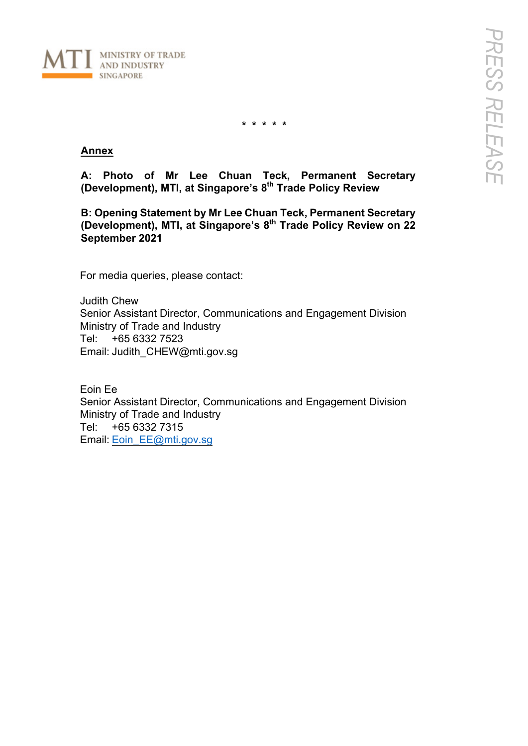

**\* \* \* \* \***

#### **Annex**

**A: Photo of Mr Lee Chuan Teck, Permanent Secretary (Development), MTI, at Singapore's 8th Trade Policy Review** 

**B: Opening Statement by Mr Lee Chuan Teck, Permanent Secretary (Development), MTI, at Singapore's 8th Trade Policy Review on 22 September 2021**

For media queries, please contact:

Judith Chew Senior Assistant Director, Communications and Engagement Division Ministry of Trade and Industry Tel: +65 6332 7523 Email: Judith\_CHEW@mti.gov.sg

Eoin Ee Senior Assistant Director, Communications and Engagement Division Ministry of Trade and Industry Tel: +65 6332 7315 Email: Eoin\_EE@mti.gov.sg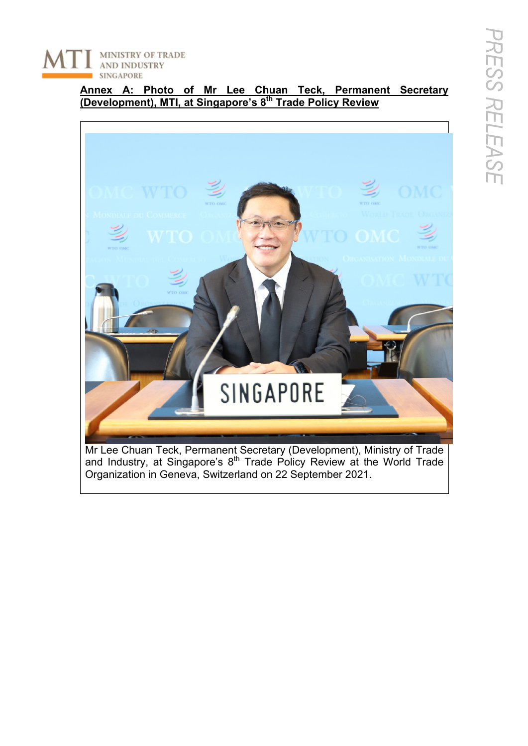MINISTRY OF TRADE **AND INDUSTRY SINGAPORE** 

> **Annex A: Photo of Mr Lee Chuan Teck, Permanent Secretary (Development), MTI, at Singapore's 8th Trade Policy Review**



Mr Lee Chuan Teck, Permanent Secretary (Development), Ministry of Trade and Industry, at Singapore's  $8<sup>th</sup>$  Trade Policy Review at the World Trade Organization in Geneva, Switzerland on 22 September 2021.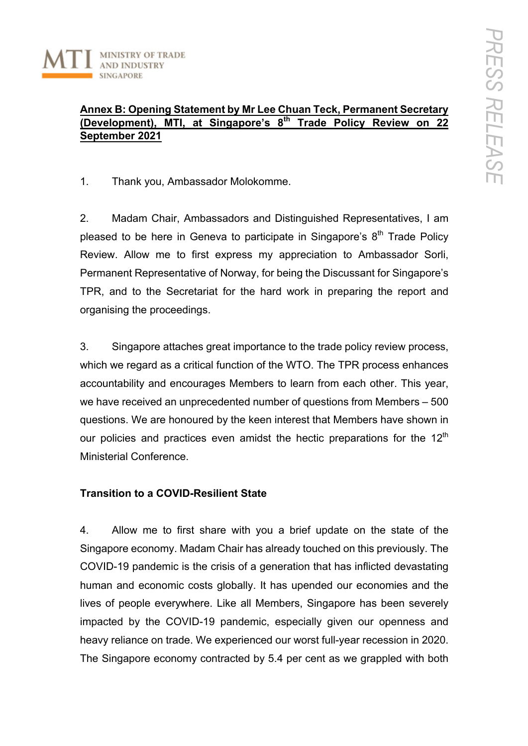

## **Annex B: Opening Statement by Mr Lee Chuan Teck, Permanent Secretary (Development), MTI, at Singapore's 8th Trade Policy Review on 22 September 2021**

1. Thank you, Ambassador Molokomme.

2. Madam Chair, Ambassadors and Distinguished Representatives, I am pleased to be here in Geneva to participate in Singapore's  $8<sup>th</sup>$  Trade Policv Review. Allow me to first express my appreciation to Ambassador Sorli, Permanent Representative of Norway, for being the Discussant for Singapore's TPR, and to the Secretariat for the hard work in preparing the report and organising the proceedings.

3. Singapore attaches great importance to the trade policy review process, which we regard as a critical function of the WTO. The TPR process enhances accountability and encourages Members to learn from each other. This year, we have received an unprecedented number of questions from Members – 500 questions. We are honoured by the keen interest that Members have shown in our policies and practices even amidst the hectic preparations for the  $12<sup>th</sup>$ Ministerial Conference.

### **Transition to a COVID-Resilient State**

4. Allow me to first share with you a brief update on the state of the Singapore economy. Madam Chair has already touched on this previously. The COVID-19 pandemic is the crisis of a generation that has inflicted devastating human and economic costs globally. It has upended our economies and the lives of people everywhere. Like all Members, Singapore has been severely impacted by the COVID-19 pandemic, especially given our openness and heavy reliance on trade. We experienced our worst full-year recession in 2020. The Singapore economy contracted by 5.4 per cent as we grappled with both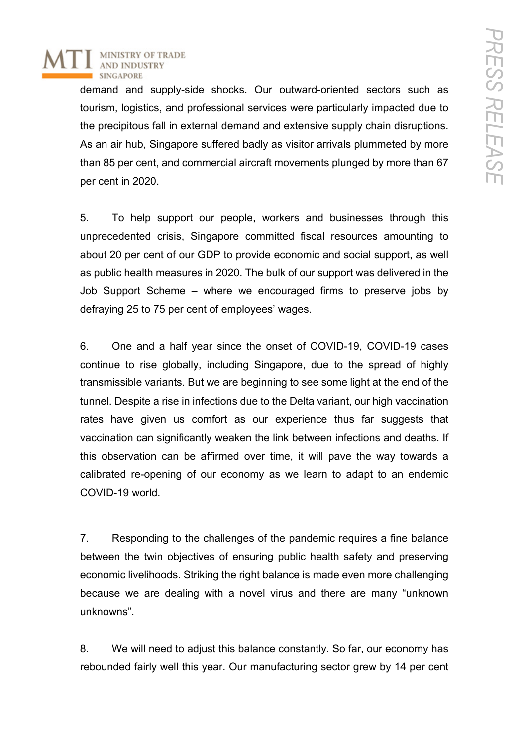

demand and supply-side shocks. Our outward-oriented sectors such as tourism, logistics, and professional services were particularly impacted due to the precipitous fall in external demand and extensive supply chain disruptions. As an air hub, Singapore suffered badly as visitor arrivals plummeted by more than 85 per cent, and commercial aircraft movements plunged by more than 67 per cent in 2020.

5. To help support our people, workers and businesses through this unprecedented crisis, Singapore committed fiscal resources amounting to about 20 per cent of our GDP to provide economic and social support, as well as public health measures in 2020. The bulk of our support was delivered in the Job Support Scheme – where we encouraged firms to preserve jobs by defraying 25 to 75 per cent of employees' wages.

6. One and a half year since the onset of COVID-19, COVID-19 cases continue to rise globally, including Singapore, due to the spread of highly transmissible variants. But we are beginning to see some light at the end of the tunnel. Despite a rise in infections due to the Delta variant, our high vaccination rates have given us comfort as our experience thus far suggests that vaccination can significantly weaken the link between infections and deaths. If this observation can be affirmed over time, it will pave the way towards a calibrated re-opening of our economy as we learn to adapt to an endemic COVID-19 world.

7. Responding to the challenges of the pandemic requires a fine balance between the twin objectives of ensuring public health safety and preserving economic livelihoods. Striking the right balance is made even more challenging because we are dealing with a novel virus and there are many "unknown unknowns".

8. We will need to adjust this balance constantly. So far, our economy has rebounded fairly well this year. Our manufacturing sector grew by 14 per cent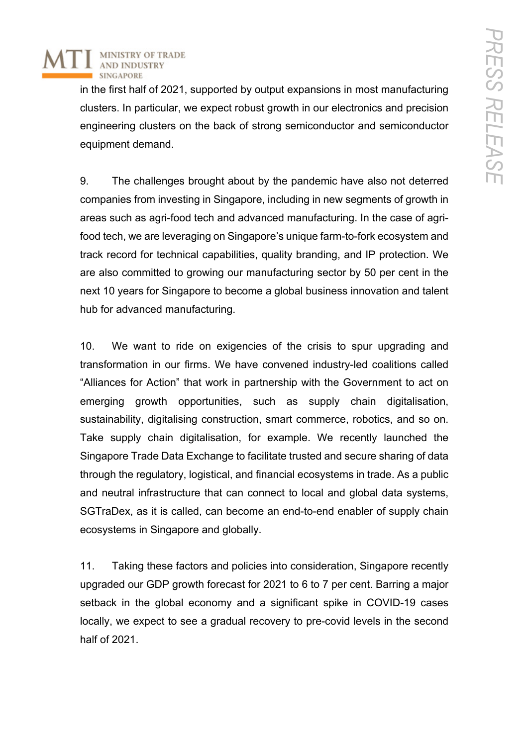

in the first half of 2021, supported by output expansions in most manufacturing clusters. In particular, we expect robust growth in our electronics and precision engineering clusters on the back of strong semiconductor and semiconductor equipment demand.

9. The challenges brought about by the pandemic have also not deterred companies from investing in Singapore, including in new segments of growth in areas such as agri-food tech and advanced manufacturing. In the case of agrifood tech, we are leveraging on Singapore's unique farm-to-fork ecosystem and track record for technical capabilities, quality branding, and IP protection. We are also committed to growing our manufacturing sector by 50 per cent in the next 10 years for Singapore to become a global business innovation and talent hub for advanced manufacturing.

10. We want to ride on exigencies of the crisis to spur upgrading and transformation in our firms. We have convened industry-led coalitions called "Alliances for Action" that work in partnership with the Government to act on emerging growth opportunities, such as supply chain digitalisation, sustainability, digitalising construction, smart commerce, robotics, and so on. Take supply chain digitalisation, for example. We recently launched the Singapore Trade Data Exchange to facilitate trusted and secure sharing of data through the regulatory, logistical, and financial ecosystems in trade. As a public and neutral infrastructure that can connect to local and global data systems, SGTraDex, as it is called, can become an end-to-end enabler of supply chain ecosystems in Singapore and globally.

11. Taking these factors and policies into consideration, Singapore recently upgraded our GDP growth forecast for 2021 to 6 to 7 per cent. Barring a major setback in the global economy and a significant spike in COVID-19 cases locally, we expect to see a gradual recovery to pre-covid levels in the second half of 2021.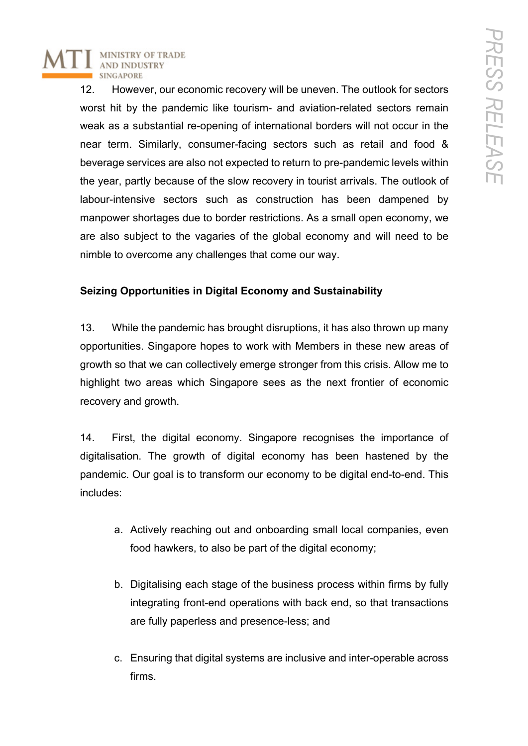**MINISTRY OF TRADE AND INDUSTRY SINGAPORI** 

> 12. However, our economic recovery will be uneven. The outlook for sectors worst hit by the pandemic like tourism- and aviation-related sectors remain weak as a substantial re-opening of international borders will not occur in the near term. Similarly, consumer-facing sectors such as retail and food & beverage services are also not expected to return to pre-pandemic levels within the year, partly because of the slow recovery in tourist arrivals. The outlook of labour-intensive sectors such as construction has been dampened by manpower shortages due to border restrictions. As a small open economy, we are also subject to the vagaries of the global economy and will need to be nimble to overcome any challenges that come our way.

# **Seizing Opportunities in Digital Economy and Sustainability**

13. While the pandemic has brought disruptions, it has also thrown up many opportunities. Singapore hopes to work with Members in these new areas of growth so that we can collectively emerge stronger from this crisis. Allow me to highlight two areas which Singapore sees as the next frontier of economic recovery and growth.

14. First, the digital economy. Singapore recognises the importance of digitalisation. The growth of digital economy has been hastened by the pandemic. Our goal is to transform our economy to be digital end-to-end. This includes:

- a. Actively reaching out and onboarding small local companies, even food hawkers, to also be part of the digital economy;
- b. Digitalising each stage of the business process within firms by fully integrating front-end operations with back end, so that transactions are fully paperless and presence-less; and
- c. Ensuring that digital systems are inclusive and inter-operable across firms.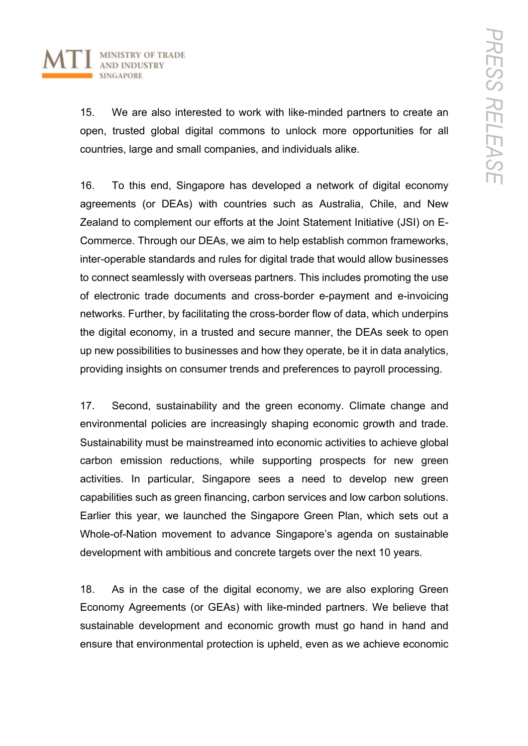

15. We are also interested to work with like-minded partners to create an open, trusted global digital commons to unlock more opportunities for all countries, large and small companies, and individuals alike.

16. To this end, Singapore has developed a network of digital economy agreements (or DEAs) with countries such as Australia, Chile, and New Zealand to complement our efforts at the Joint Statement Initiative (JSI) on E-Commerce. Through our DEAs, we aim to help establish common frameworks, inter-operable standards and rules for digital trade that would allow businesses to connect seamlessly with overseas partners. This includes promoting the use of electronic trade documents and cross-border e-payment and e-invoicing networks. Further, by facilitating the cross-border flow of data, which underpins the digital economy, in a trusted and secure manner, the DEAs seek to open up new possibilities to businesses and how they operate, be it in data analytics, providing insights on consumer trends and preferences to payroll processing.

17. Second, sustainability and the green economy. Climate change and environmental policies are increasingly shaping economic growth and trade. Sustainability must be mainstreamed into economic activities to achieve global carbon emission reductions, while supporting prospects for new green activities. In particular, Singapore sees a need to develop new green capabilities such as green financing, carbon services and low carbon solutions. Earlier this year, we launched the Singapore Green Plan, which sets out a Whole-of-Nation movement to advance Singapore's agenda on sustainable development with ambitious and concrete targets over the next 10 years.

18. As in the case of the digital economy, we are also exploring Green Economy Agreements (or GEAs) with like-minded partners. We believe that sustainable development and economic growth must go hand in hand and ensure that environmental protection is upheld, even as we achieve economic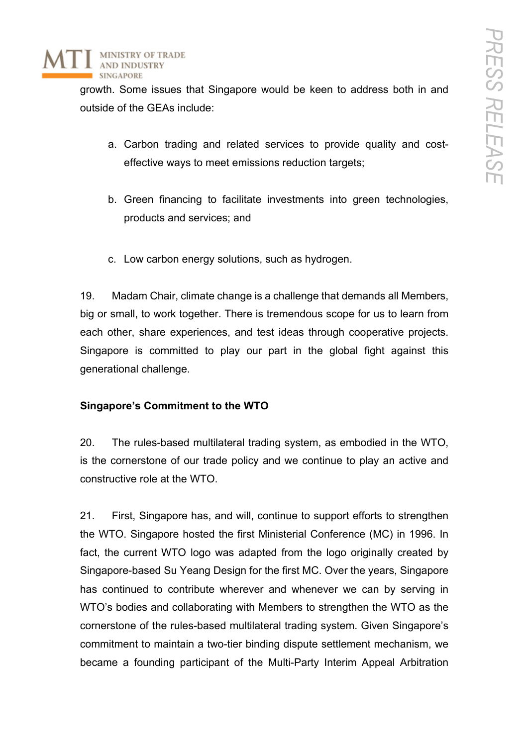

growth. Some issues that Singapore would be keen to address both in and outside of the GEAs include:

- a. Carbon trading and related services to provide quality and costeffective ways to meet emissions reduction targets;
- b. Green financing to facilitate investments into green technologies, products and services; and
- c. Low carbon energy solutions, such as hydrogen.

19. Madam Chair, climate change is a challenge that demands all Members, big or small, to work together. There is tremendous scope for us to learn from each other, share experiences, and test ideas through cooperative projects. Singapore is committed to play our part in the global fight against this generational challenge.

### **Singapore's Commitment to the WTO**

20. The rules-based multilateral trading system, as embodied in the WTO, is the cornerstone of our trade policy and we continue to play an active and constructive role at the WTO.

21. First, Singapore has, and will, continue to support efforts to strengthen the WTO. Singapore hosted the first Ministerial Conference (MC) in 1996. In fact, the current WTO logo was adapted from the logo originally created by Singapore-based Su Yeang Design for the first MC. Over the years, Singapore has continued to contribute wherever and whenever we can by serving in WTO's bodies and collaborating with Members to strengthen the WTO as the cornerstone of the rules-based multilateral trading system. Given Singapore's commitment to maintain a two-tier binding dispute settlement mechanism, we became a founding participant of the Multi-Party Interim Appeal Arbitration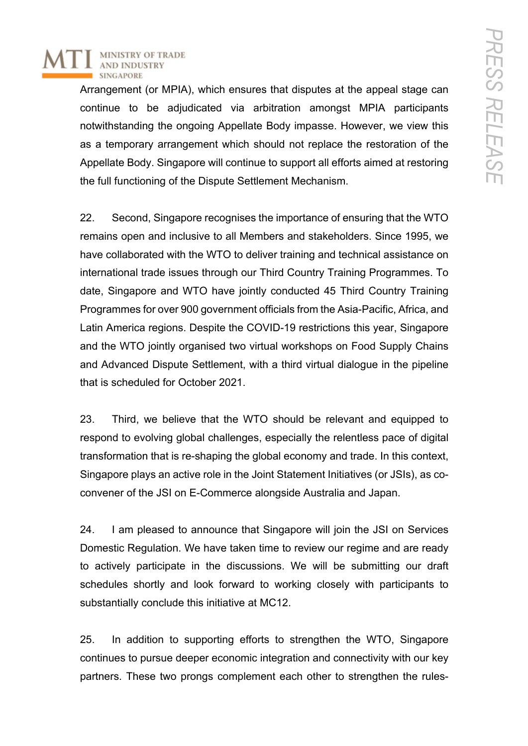

Arrangement (or MPIA), which ensures that disputes at the appeal stage can continue to be adjudicated via arbitration amongst MPIA participants notwithstanding the ongoing Appellate Body impasse. However, we view this as a temporary arrangement which should not replace the restoration of the Appellate Body. Singapore will continue to support all efforts aimed at restoring the full functioning of the Dispute Settlement Mechanism.

22. Second, Singapore recognises the importance of ensuring that the WTO remains open and inclusive to all Members and stakeholders. Since 1995, we have collaborated with the WTO to deliver training and technical assistance on international trade issues through our Third Country Training Programmes. To date, Singapore and WTO have jointly conducted 45 Third Country Training Programmes for over 900 government officials from the Asia-Pacific, Africa, and Latin America regions. Despite the COVID-19 restrictions this year, Singapore and the WTO jointly organised two virtual workshops on Food Supply Chains and Advanced Dispute Settlement, with a third virtual dialogue in the pipeline that is scheduled for October 2021.

23. Third, we believe that the WTO should be relevant and equipped to respond to evolving global challenges, especially the relentless pace of digital transformation that is re-shaping the global economy and trade. In this context, Singapore plays an active role in the Joint Statement Initiatives (or JSIs), as coconvener of the JSI on E-Commerce alongside Australia and Japan.

24. I am pleased to announce that Singapore will join the JSI on Services Domestic Regulation. We have taken time to review our regime and are ready to actively participate in the discussions. We will be submitting our draft schedules shortly and look forward to working closely with participants to substantially conclude this initiative at MC12.

25. In addition to supporting efforts to strengthen the WTO, Singapore continues to pursue deeper economic integration and connectivity with our key partners. These two prongs complement each other to strengthen the rules-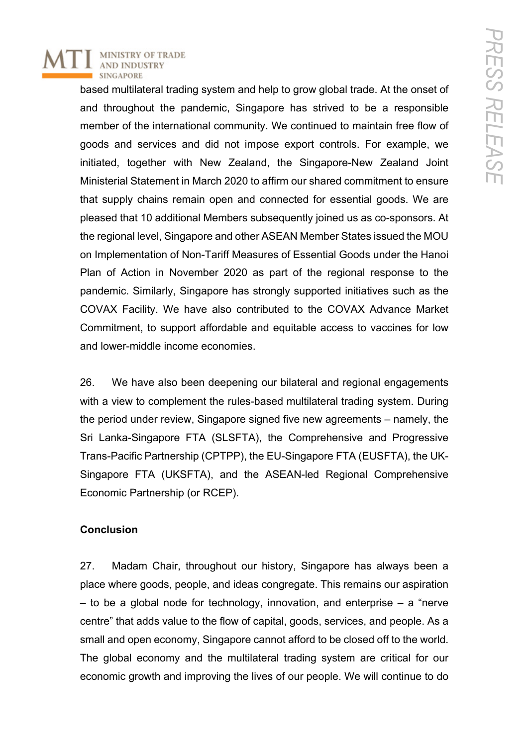**MINISTRY OF TRADE AND INDUSTRY SINGAPORE** 

> based multilateral trading system and help to grow global trade. At the onset of and throughout the pandemic, Singapore has strived to be a responsible member of the international community. We continued to maintain free flow of goods and services and did not impose export controls. For example, we initiated, together with New Zealand, the Singapore-New Zealand Joint Ministerial Statement in March 2020 to affirm our shared commitment to ensure that supply chains remain open and connected for essential goods. We are pleased that 10 additional Members subsequently joined us as co-sponsors. At the regional level, Singapore and other ASEAN Member States issued the MOU on Implementation of Non-Tariff Measures of Essential Goods under the Hanoi Plan of Action in November 2020 as part of the regional response to the pandemic. Similarly, Singapore has strongly supported initiatives such as the COVAX Facility. We have also contributed to the COVAX Advance Market Commitment, to support affordable and equitable access to vaccines for low and lower-middle income economies.

> 26. We have also been deepening our bilateral and regional engagements with a view to complement the rules-based multilateral trading system. During the period under review, Singapore signed five new agreements – namely, the Sri Lanka-Singapore FTA (SLSFTA), the Comprehensive and Progressive Trans-Pacific Partnership (CPTPP), the EU-Singapore FTA (EUSFTA), the UK-Singapore FTA (UKSFTA), and the ASEAN-led Regional Comprehensive Economic Partnership (or RCEP).

### **Conclusion**

27. Madam Chair, throughout our history, Singapore has always been a place where goods, people, and ideas congregate. This remains our aspiration  $-$  to be a global node for technology, innovation, and enterprise  $-$  a "nerve" centre" that adds value to the flow of capital, goods, services, and people. As a small and open economy, Singapore cannot afford to be closed off to the world. The global economy and the multilateral trading system are critical for our economic growth and improving the lives of our people. We will continue to do